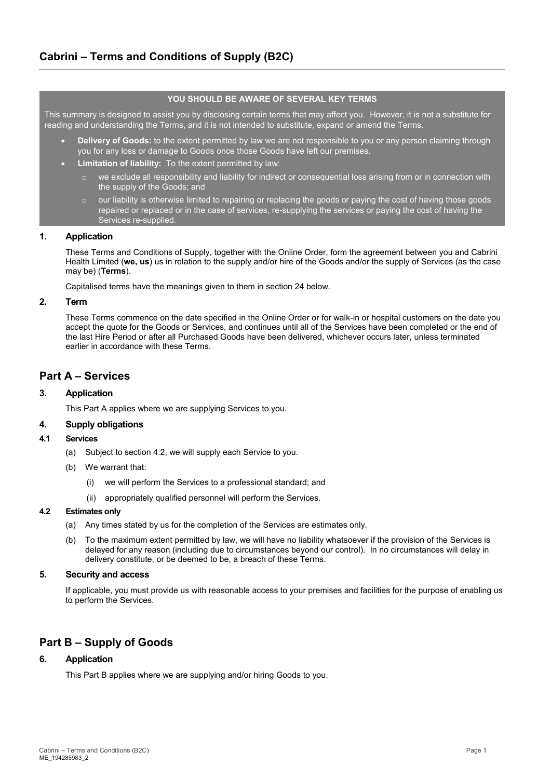# **YOU SHOULD BE AWARE OF SEVERAL KEY TERMS**

This summary is designed to assist you by disclosing certain terms that may affect you. However, it is not a substitute for reading and understanding the Terms, and it is not intended to substitute, expand or amend the Terms.

- **Delivery of Goods:** to the extent permitted by law we are not responsible to you or any person claiming through you for any loss or damage to Goods once those Goods have left our premises.
- **Limitation of liability:** To the extent permitted by law:
	- o we exclude all responsibility and liability for indirect or consequential loss arising from or in connection with the supply of the Goods; and
	- our liability is otherwise limited to repairing or replacing the goods or paying the cost of having those goods repaired or replaced or in the case of services, re-supplying the services or paying the cost of having the Services re-supplied.

# **1. Application**

These Terms and Conditions of Supply, together with the Online Order, form the agreement between you and Cabrini Health Limited (**we, us**) us in relation to the supply and/or hire of the Goods and/or the supply of Services (as the case may be) (**Terms**).

Capitalised terms have the meanings given to them in sectio[n 24](#page-5-0) below.

## **2. Term**

These Terms commence on the date specified in the Online Order or for walk-in or hospital customers on the date you accept the quote for the Goods or Services, and continues until all of the Services have been completed or the end of the last Hire Period or after all Purchased Goods have been delivered, whichever occurs later, unless terminated earlier in accordance with these Terms.

# **Part A – Services**

# **3. Application**

This Part A applies where we are supplying Services to you.

## **4. Supply obligations**

#### **4.1 Services**

- (a) Subject to section [4.2,](#page-0-0) we will supply each Service to you.
- (b) We warrant that:
	- we will perform the Services to a professional standard; and
	- (ii) appropriately qualified personnel will perform the Services.

## <span id="page-0-0"></span>**4.2 Estimates only**

- (a) Any times stated by us for the completion of the Services are estimates only.
- (b) To the maximum extent permitted by law, we will have no liability whatsoever if the provision of the Services is delayed for any reason (including due to circumstances beyond our control). In no circumstances will delay in delivery constitute, or be deemed to be, a breach of these Terms.

# **5. Security and access**

If applicable, you must provide us with reasonable access to your premises and facilities for the purpose of enabling us to perform the Services.

# **Part B – Supply of Goods**

# **6. Application**

This Part B applies where we are supplying and/or hiring Goods to you.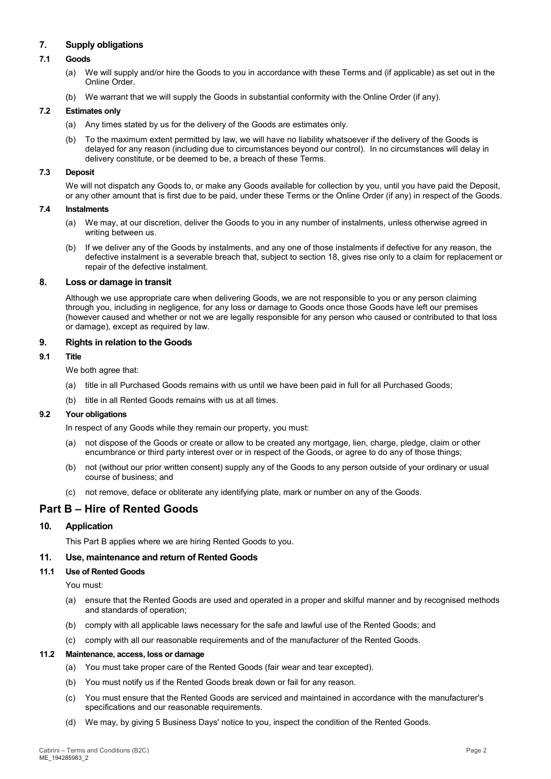# **7. Supply obligations**

# **7.1 Goods**

- (a) We will supply and/or hire the Goods to you in accordance with these Terms and (if applicable) as set out in the Online Order.
- (b) We warrant that we will supply the Goods in substantial conformity with the Online Order (if any).

## **7.2 Estimates only**

- (a) Any times stated by us for the delivery of the Goods are estimates only.
- (b) To the maximum extent permitted by law, we will have no liability whatsoever if the delivery of the Goods is delayed for any reason (including due to circumstances beyond our control). In no circumstances will delay in delivery constitute, or be deemed to be, a breach of these Terms.

## **7.3 Deposit**

We will not dispatch any Goods to, or make any Goods available for collection by you, until you have paid the Deposit, or any other amount that is first due to be paid, under these Terms or the Online Order (if any) in respect of the Goods.

#### **7.4 Instalments**

- (a) We may, at our discretion, deliver the Goods to you in any number of instalments, unless otherwise agreed in writing between us.
- (b) If we deliver any of the Goods by instalments, and any one of those instalments if defective for any reason, the defective instalment is a severable breach that, subject to section [18,](#page-4-0) gives rise only to a claim for replacement or repair of the defective instalment.

## **8. Loss or damage in transit**

Although we use appropriate care when delivering Goods, we are not responsible to you or any person claiming through you, including in negligence, for any loss or damage to Goods once those Goods have left our premises (however caused and whether or not we are legally responsible for any person who caused or contributed to that loss or damage), except as required by law.

# **9. Rights in relation to the Goods**

# **9.1 Title**

We both agree that:

- (a) title in all Purchased Goods remains with us until we have been paid in full for all Purchased Goods;
- (b) title in all Rented Goods remains with us at all times.

## **9.2 Your obligations**

In respect of any Goods while they remain our property, you must:

- (a) not dispose of the Goods or create or allow to be created any mortgage, lien, charge, pledge, claim or other encumbrance or third party interest over or in respect of the Goods, or agree to do any of those things;
- (b) not (without our prior written consent) supply any of the Goods to any person outside of your ordinary or usual course of business; and
- (c) not remove, deface or obliterate any identifying plate, mark or number on any of the Goods.

# **Part B – Hire of Rented Goods**

# **10. Application**

This Part B applies where we are hiring Rented Goods to you.

# **11. Use, maintenance and return of Rented Goods**

## **11.1 Use of Rented Goods**

You must:

- (a) ensure that the Rented Goods are used and operated in a proper and skilful manner and by recognised methods and standards of operation;
- (b) comply with all applicable laws necessary for the safe and lawful use of the Rented Goods; and
- (c) comply with all our reasonable requirements and of the manufacturer of the Rented Goods.

#### **11.2 Maintenance, access, loss or damage**

- (a) You must take proper care of the Rented Goods (fair wear and tear excepted).
- (b) You must notify us if the Rented Goods break down or fail for any reason.
- (c) You must ensure that the Rented Goods are serviced and maintained in accordance with the manufacturer's specifications and our reasonable requirements.
- (d) We may, by giving 5 Business Days' notice to you, inspect the condition of the Rented Goods.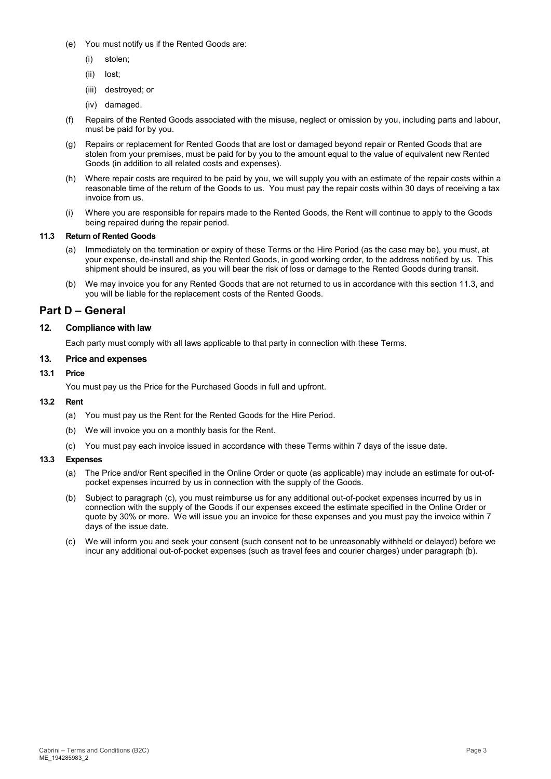- (e) You must notify us if the Rented Goods are:
	- (i) stolen;
	- (ii) lost;
	- (iii) destroyed; or
	- (iv) damaged.
- (f) Repairs of the Rented Goods associated with the misuse, neglect or omission by you, including parts and labour, must be paid for by you.
- (g) Repairs or replacement for Rented Goods that are lost or damaged beyond repair or Rented Goods that are stolen from your premises, must be paid for by you to the amount equal to the value of equivalent new Rented Goods (in addition to all related costs and expenses).
- (h) Where repair costs are required to be paid by you, we will supply you with an estimate of the repair costs within a reasonable time of the return of the Goods to us. You must pay the repair costs within 30 days of receiving a tax invoice from us.
- (i) Where you are responsible for repairs made to the Rented Goods, the Rent will continue to apply to the Goods being repaired during the repair period.

#### <span id="page-2-0"></span>**11.3 Return of Rented Goods**

- (a) Immediately on the termination or expiry of these Terms or the Hire Period (as the case may be), you must, at your expense, de-install and ship the Rented Goods, in good working order, to the address notified by us. This shipment should be insured, as you will bear the risk of loss or damage to the Rented Goods during transit.
- (b) We may invoice you for any Rented Goods that are not returned to us in accordance with this section [11.3,](#page-2-0) and you will be liable for the replacement costs of the Rented Goods.

# **Part D – General**

# **12. Compliance with law**

Each party must comply with all laws applicable to that party in connection with these Terms.

# **13. Price and expenses**

## <span id="page-2-2"></span>**13.1 Price**

You must pay us the Price for the Purchased Goods in full and upfront.

#### **13.2 Rent**

- (a) You must pay us the Rent for the Rented Goods for the Hire Period.
- (b) We will invoice you on a monthly basis for the Rent.
- (c) You must pay each invoice issued in accordance with these Terms within 7 days of the issue date.

## **13.3 Expenses**

- (a) The Price and/or Rent specified in the Online Order or quote (as applicable) may include an estimate for out-ofpocket expenses incurred by us in connection with the supply of the Goods.
- <span id="page-2-1"></span>(b) Subject to paragraph (c), you must reimburse us for any additional out-of-pocket expenses incurred by us in connection with the supply of the Goods if our expenses exceed the estimate specified in the Online Order or quote by 30% or more. We will issue you an invoice for these expenses and you must pay the invoice within 7 days of the issue date.
- (c) We will inform you and seek your consent (such consent not to be unreasonably withheld or delayed) before we incur any additional out-of-pocket expenses (such as travel fees and courier charges) under paragraph [\(b\).](#page-2-1)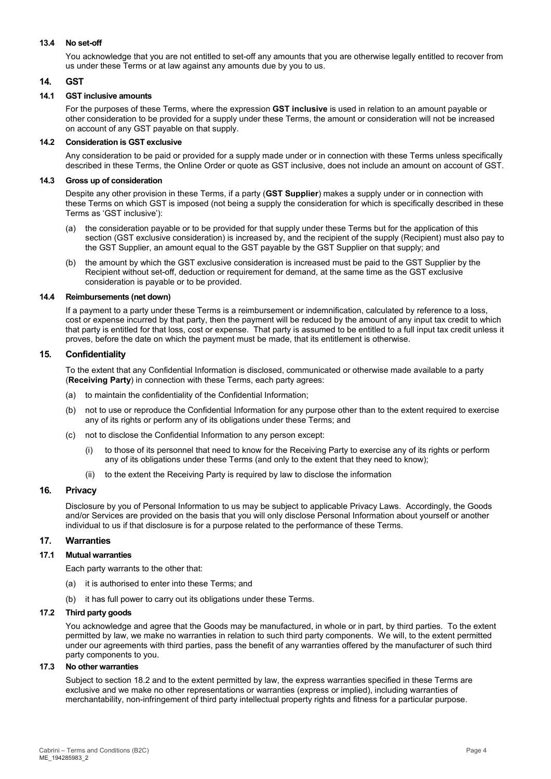### **13.4 No set-off**

You acknowledge that you are not entitled to set-off any amounts that you are otherwise legally entitled to recover from us under these Terms or at law against any amounts due by you to us.

# <span id="page-3-1"></span>**14. GST**

## <span id="page-3-0"></span>**14.1 GST inclusive amounts**

For the purposes of these Terms, where the expression **GST inclusive** is used in relation to an amount payable or other consideration to be provided for a supply under these Terms, the amount or consideration will not be increased on account of any GST payable on that supply.

### **14.2 Consideration is GST exclusive**

Any consideration to be paid or provided for a supply made under or in connection with these Terms unless specifically described in these Terms, the Online Order or quote as GST inclusive, does not include an amount on account of GST.

### **14.3 Gross up of consideration**

Despite any other provision in these Terms, if a party (**GST Supplier**) makes a supply under or in connection with these Terms on which GST is imposed (not being a supply the consideration for which is specifically described in these Terms as 'GST inclusive'):

- (a) the consideration payable or to be provided for that supply under these Terms but for the application of this section (GST exclusive consideration) is increased by, and the recipient of the supply (Recipient) must also pay to the GST Supplier, an amount equal to the GST payable by the GST Supplier on that supply; and
- (b) the amount by which the GST exclusive consideration is increased must be paid to the GST Supplier by the Recipient without set-off, deduction or requirement for demand, at the same time as the GST exclusive consideration is payable or to be provided.

## **14.4 Reimbursements (net down)**

If a payment to a party under these Terms is a reimbursement or indemnification, calculated by reference to a loss, cost or expense incurred by that party, then the payment will be reduced by the amount of any input tax credit to which that party is entitled for that loss, cost or expense. That party is assumed to be entitled to a full input tax credit unless it proves, before the date on which the payment must be made, that its entitlement is otherwise.

## <span id="page-3-2"></span>**15. Confidentiality**

To the extent that any Confidential Information is disclosed, communicated or otherwise made available to a party (**Receiving Party**) in connection with these Terms, each party agrees:

- (a) to maintain the confidentiality of the Confidential Information;
- (b) not to use or reproduce the Confidential Information for any purpose other than to the extent required to exercise any of its rights or perform any of its obligations under these Terms; and
- (c) not to disclose the Confidential Information to any person except:
	- (i) to those of its personnel that need to know for the Receiving Party to exercise any of its rights or perform any of its obligations under these Terms (and only to the extent that they need to know);
	- (ii) to the extent the Receiving Party is required by law to disclose the information

# **16. Privacy**

Disclosure by you of Personal Information to us may be subject to applicable Privacy Laws. Accordingly, the Goods and/or Services are provided on the basis that you will only disclose Personal Information about yourself or another individual to us if that disclosure is for a purpose related to the performance of these Terms.

# **17. Warranties**

#### **17.1 Mutual warranties**

Each party warrants to the other that:

- (a) it is authorised to enter into these Terms; and
- (b) it has full power to carry out its obligations under these Terms.

### **17.2 Third party goods**

You acknowledge and agree that the Goods may be manufactured, in whole or in part, by third parties. To the extent permitted by law, we make no warranties in relation to such third party components. We will, to the extent permitted under our agreements with third parties, pass the benefit of any warranties offered by the manufacturer of such third party components to you.

#### **17.3 No other warranties**

Subject to sectio[n 18.2](#page-4-1) and to the extent permitted by law, the express warranties specified in these Terms are exclusive and we make no other representations or warranties (express or implied), including warranties of merchantability, non-infringement of third party intellectual property rights and fitness for a particular purpose.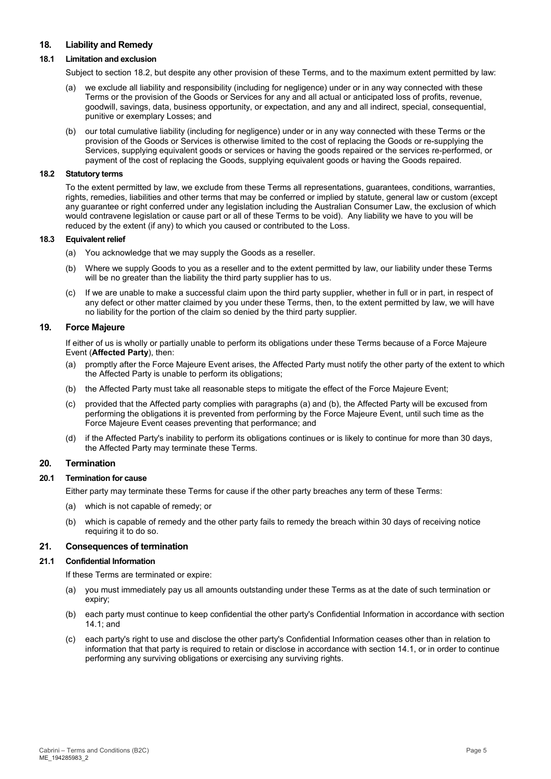# <span id="page-4-0"></span>**18. Liability and Remedy**

## **18.1 Limitation and exclusion**

Subject to section [18.2,](#page-4-1) but despite any other provision of these Terms, and to the maximum extent permitted by law:

- (a) we exclude all liability and responsibility (including for negligence) under or in any way connected with these Terms or the provision of the Goods or Services for any and all actual or anticipated loss of profits, revenue, goodwill, savings, data, business opportunity, or expectation, and any and all indirect, special, consequential, punitive or exemplary Losses; and
- (b) our total cumulative liability (including for negligence) under or in any way connected with these Terms or the provision of the Goods or Services is otherwise limited to the cost of replacing the Goods or re-supplying the Services, supplying equivalent goods or services or having the goods repaired or the services re-performed, or payment of the cost of replacing the Goods, supplying equivalent goods or having the Goods repaired.

#### <span id="page-4-1"></span>**18.2 Statutory terms**

To the extent permitted by law, we exclude from these Terms all representations, guarantees, conditions, warranties, rights, remedies, liabilities and other terms that may be conferred or implied by statute, general law or custom (except any guarantee or right conferred under any legislation including the Australian Consumer Law, the exclusion of which would contravene legislation or cause part or all of these Terms to be void). Any liability we have to you will be reduced by the extent (if any) to which you caused or contributed to the Loss.

### **18.3 Equivalent relief**

- (a) You acknowledge that we may supply the Goods as a reseller.
- (b) Where we supply Goods to you as a reseller and to the extent permitted by law, our liability under these Terms will be no greater than the liability the third party supplier has to us.
- (c) If we are unable to make a successful claim upon the third party supplier, whether in full or in part, in respect of any defect or other matter claimed by you under these Terms, then, to the extent permitted by law, we will have no liability for the portion of the claim so denied by the third party supplier.

### **19. Force Majeure**

If either of us is wholly or partially unable to perform its obligations under these Terms because of a Force Majeure Event (**Affected Party**), then:

- (a) promptly after the Force Majeure Event arises, the Affected Party must notify the other party of the extent to which the Affected Party is unable to perform its obligations;
- (b) the Affected Party must take all reasonable steps to mitigate the effect of the Force Majeure Event;
- (c) provided that the Affected party complies with paragraphs (a) and (b), the Affected Party will be excused from performing the obligations it is prevented from performing by the Force Majeure Event, until such time as the Force Majeure Event ceases preventing that performance; and
- (d) if the Affected Party's inability to perform its obligations continues or is likely to continue for more than 30 days, the Affected Party may terminate these Terms.

### **20. Termination**

#### **20.1 Termination for cause**

Either party may terminate these Terms for cause if the other party breaches any term of these Terms:

- (a) which is not capable of remedy; or
- (b) which is capable of remedy and the other party fails to remedy the breach within 30 days of receiving notice requiring it to do so.

#### <span id="page-4-2"></span>**21. Consequences of termination**

#### **21.1 Confidential Information**

If these Terms are terminated or expire:

- (a) you must immediately pay us all amounts outstanding under these Terms as at the date of such termination or expiry;
- (b) each party must continue to keep confidential the other party's Confidential Information in accordance with section [14.1;](#page-3-0) and
- (c) each party's right to use and disclose the other party's Confidential Information ceases other than in relation to information that that party is required to retain or disclose in accordance with section [14.1,](#page-3-0) or in order to continue performing any surviving obligations or exercising any surviving rights.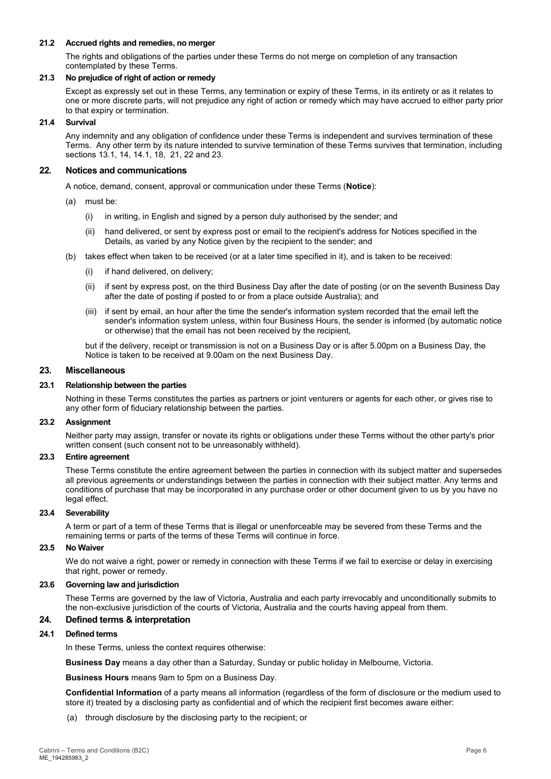### **21.2 Accrued rights and remedies, no merger**

The rights and obligations of the parties under these Terms do not merge on completion of any transaction contemplated by these Terms.

### **21.3 No prejudice of right of action or remedy**

Except as expressly set out in these Terms, any termination or expiry of these Terms, in its entirety or as it relates to one or more discrete parts, will not prejudice any right of action or remedy which may have accrued to either party prior to that expiry or termination.

### **21.4 Survival**

Any indemnity and any obligation of confidence under these Terms is independent and survives termination of these Terms. Any other term by its nature intended to survive termination of these Terms survives that termination, including sections [13.1,](#page-2-2) [14,](#page-3-1) [14.1,](#page-3-0) [18,](#page-4-0) [21,](#page-4-2) [22](#page-5-1) and [23.](#page-5-2)

## <span id="page-5-1"></span>**22. Notices and communications**

A notice, demand, consent, approval or communication under these Terms (**Notice**):

- (a) must be:
	- (i) in writing, in English and signed by a person duly authorised by the sender; and
	- (ii) hand delivered, or sent by express post or email to the recipient's address for Notices specified in the Details, as varied by any Notice given by the recipient to the sender; and
- (b) takes effect when taken to be received (or at a later time specified in it), and is taken to be received:
	- (i) if hand delivered, on delivery;
	- (ii) if sent by express post, on the third Business Day after the date of posting (or on the seventh Business Day after the date of posting if posted to or from a place outside Australia); and
	- (iii) if sent by email, an hour after the time the sender's information system recorded that the email left the sender's information system unless, within four Business Hours, the sender is informed (by automatic notice or otherwise) that the email has not been received by the recipient,

but if the delivery, receipt or transmission is not on a Business Day or is after 5.00pm on a Business Day, the Notice is taken to be received at 9.00am on the next Business Day.

## <span id="page-5-2"></span>**23. Miscellaneous**

## **23.1 Relationship between the parties**

Nothing in these Terms constitutes the parties as partners or joint venturers or agents for each other, or gives rise to any other form of fiduciary relationship between the parties.

#### **23.2 Assignment**

Neither party may assign, transfer or novate its rights or obligations under these Terms without the other party's prior written consent (such consent not to be unreasonably withheld).

#### **23.3 Entire agreement**

These Terms constitute the entire agreement between the parties in connection with its subject matter and supersedes all previous agreements or understandings between the parties in connection with their subject matter. Any terms and conditions of purchase that may be incorporated in any purchase order or other document given to us by you have no legal effect.

#### **23.4 Severability**

A term or part of a term of these Terms that is illegal or unenforceable may be severed from these Terms and the remaining terms or parts of the terms of these Terms will continue in force.

# **23.5 No Waiver**

We do not waive a right, power or remedy in connection with these Terms if we fail to exercise or delay in exercising that right, power or remedy.

### **23.6 Governing law and jurisdiction**

These Terms are governed by the law of Victoria, Australia and each party irrevocably and unconditionally submits to the non-exclusive jurisdiction of the courts of Victoria, Australia and the courts having appeal from them.

# <span id="page-5-0"></span>**24. Defined terms & interpretation**

# **24.1 Defined terms**

In these Terms, unless the context requires otherwise:

**Business Day** means a day other than a Saturday, Sunday or public holiday in Melbourne, Victoria.

**Business Hours** means 9am to 5pm on a Business Day.

**Confidential Information** of a party means all information (regardless of the form of disclosure or the medium used to store it) treated by a disclosing party as confidential and of which the recipient first becomes aware either:

(a) through disclosure by the disclosing party to the recipient; or